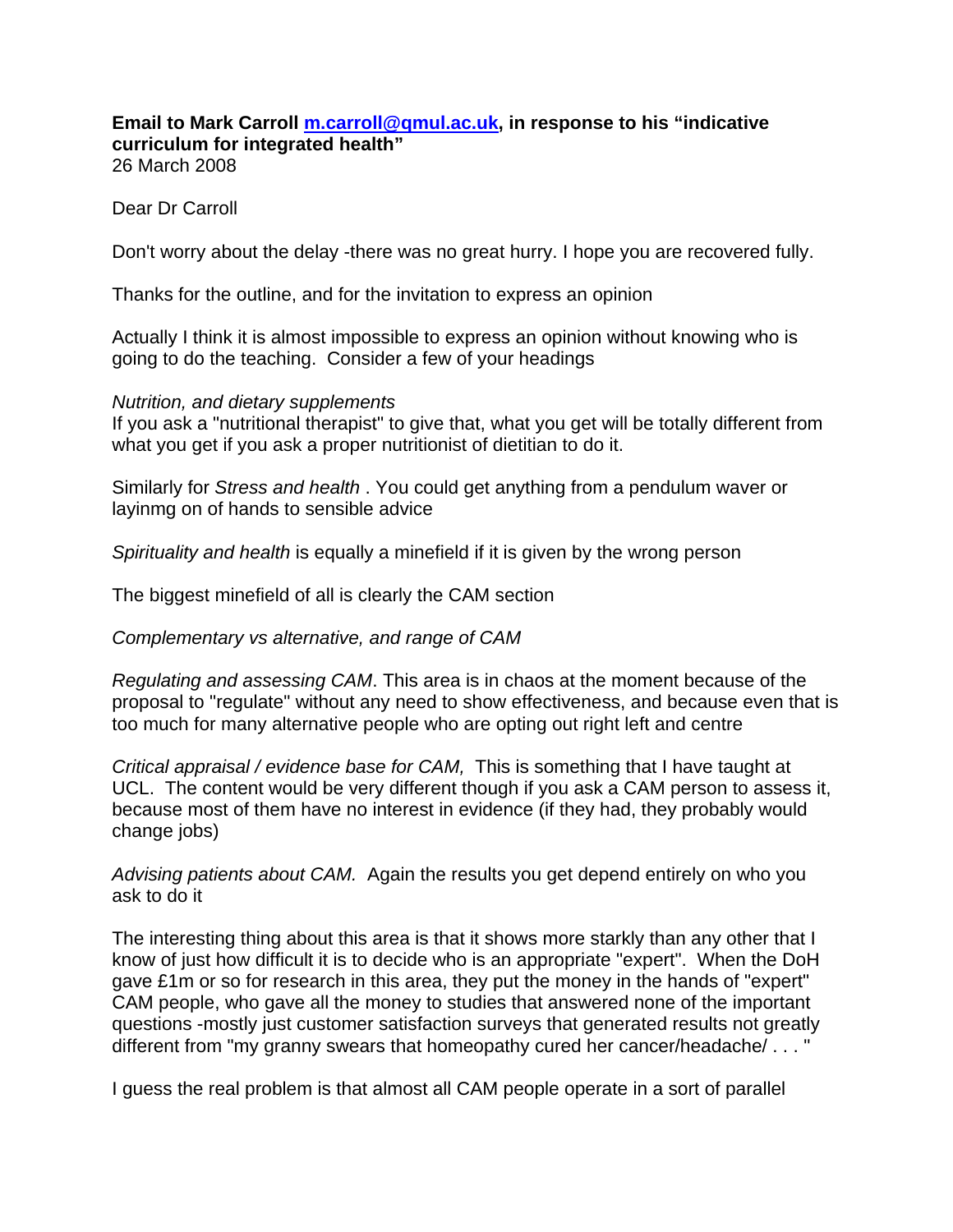## **Email to Mark Carroll m.carroll@qmul.ac.uk, in response to his "indicative curriculum for integrated health"**  26 March 2008

Dear Dr Carroll

Don't worry about the delay -there was no great hurry. I hope you are recovered fully.

Thanks for the outline, and for the invitation to express an opinion

Actually I think it is almost impossible to express an opinion without knowing who is going to do the teaching. Consider a few of your headings

## *Nutrition, and dietary supplements*

If you ask a "nutritional therapist" to give that, what you get will be totally different from what you get if you ask a proper nutritionist of dietitian to do it.

Similarly for *Stress and health* . You could get anything from a pendulum waver or layinmg on of hands to sensible advice

*Spirituality and health* is equally a minefield if it is given by the wrong person

The biggest minefield of all is clearly the CAM section

*Complementary vs alternative, and range of CAM* 

*Regulating and assessing CAM*. This area is in chaos at the moment because of the proposal to "regulate" without any need to show effectiveness, and because even that is too much for many alternative people who are opting out right left and centre

*Critical appraisal / evidence base for CAM,* This is something that I have taught at UCL. The content would be very different though if you ask a CAM person to assess it, because most of them have no interest in evidence (if they had, they probably would change jobs)

*Advising patients about CAM.* Again the results you get depend entirely on who you ask to do it

The interesting thing about this area is that it shows more starkly than any other that I know of just how difficult it is to decide who is an appropriate "expert". When the DoH gave £1m or so for research in this area, they put the money in the hands of "expert" CAM people, who gave all the money to studies that answered none of the important questions -mostly just customer satisfaction surveys that generated results not greatly different from "my granny swears that homeopathy cured her cancer/headache/ . . . "

I guess the real problem is that almost all CAM people operate in a sort of parallel